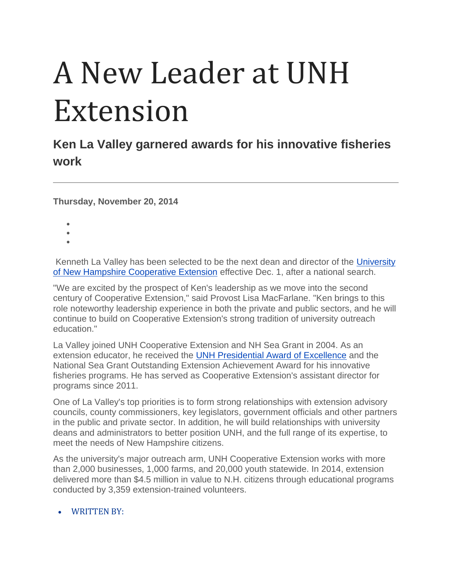## A New Leader at UNH Extension

## **Ken La Valley garnered awards for his innovative fisheries work**

**Thursday, November 20, 2014**

- •
- •
- •

Kenneth La Valley has been selected to be the next dean and director of the [University](http://extension.unh.edu/)  [of New Hampshire Cooperative Extension](http://extension.unh.edu/) effective Dec. 1, after a national search.

"We are excited by the prospect of Ken's leadership as we move into the second century of Cooperative Extension," said Provost Lisa MacFarlane. "Ken brings to this role noteworthy leadership experience in both the private and public sectors, and he will continue to build on Cooperative Extension's strong tradition of university outreach education."

La Valley joined UNH Cooperative Extension and NH Sea Grant in 2004. As an extension educator, he received the [UNH Presidential Award of Excellence](http://www.unh.edu/staffexcellence/excellence.html) and the National Sea Grant Outstanding Extension Achievement Award for his innovative fisheries programs. He has served as Cooperative Extension's assistant director for programs since 2011.

One of La Valley's top priorities is to form strong relationships with extension advisory councils, county commissioners, key legislators, government officials and other partners in the public and private sector. In addition, he will build relationships with university deans and administrators to better position UNH, and the full range of its expertise, to meet the needs of New Hampshire citizens.

As the university's major outreach arm, UNH Cooperative Extension works with more than 2,000 businesses, 1,000 farms, and 20,000 youth statewide. In 2014, extension delivered more than \$4.5 million in value to N.H. citizens through educational programs conducted by 3,359 extension-trained volunteers.

## • WRITTEN BY: